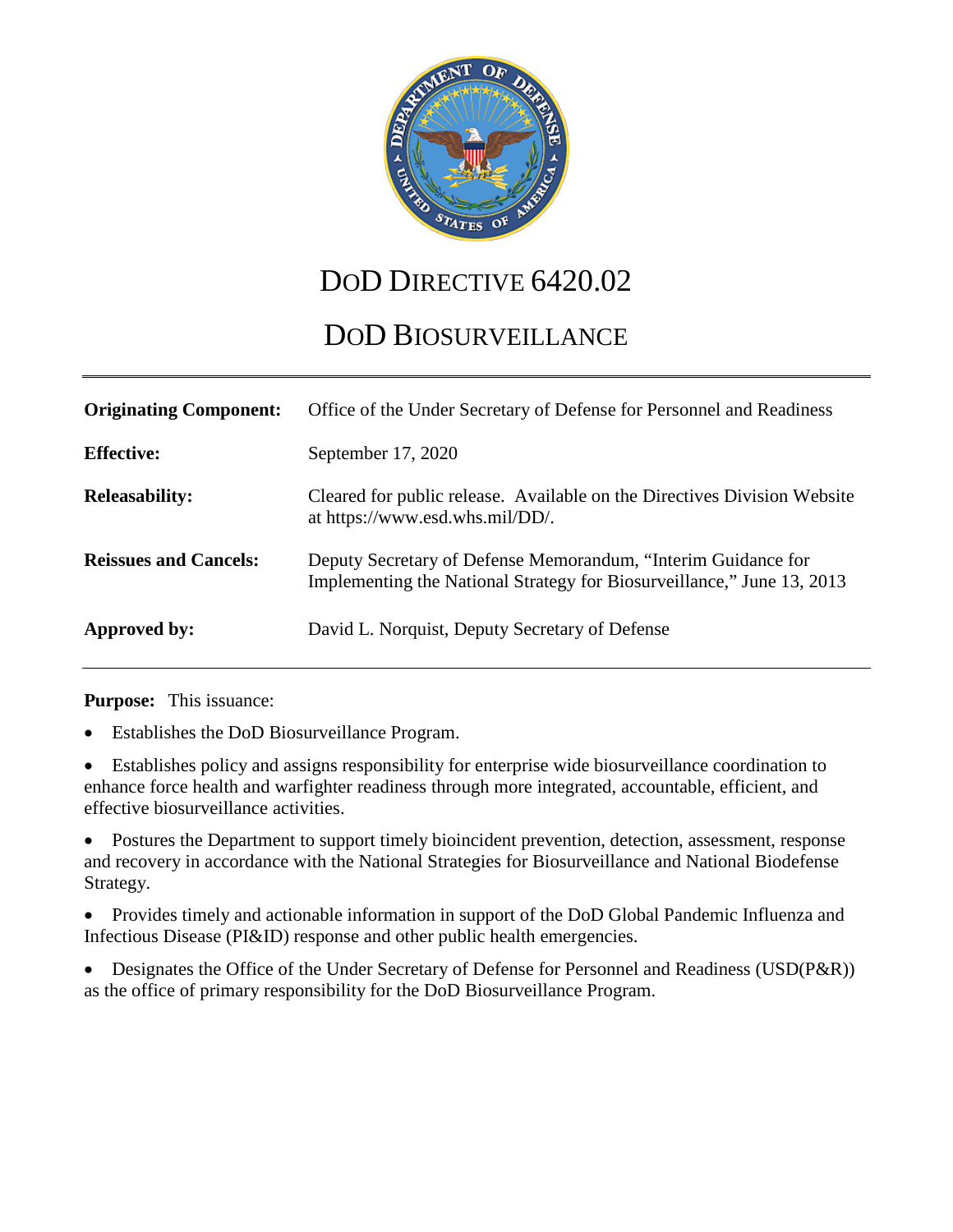

# DOD DIRECTIVE  $6420.02$

# DOD BIOSURVEILLANCE

| <b>Originating Component:</b> | Office of the Under Secretary of Defense for Personnel and Readiness                                                                    |
|-------------------------------|-----------------------------------------------------------------------------------------------------------------------------------------|
| <b>Effective:</b>             | September 17, 2020                                                                                                                      |
| <b>Releasability:</b>         | Cleared for public release. Available on the Directives Division Website<br>at https://www.esd.whs.mil/DD/.                             |
| <b>Reissues and Cancels:</b>  | Deputy Secretary of Defense Memorandum, "Interim Guidance for<br>Implementing the National Strategy for Biosurveillance," June 13, 2013 |
| Approved by:                  | David L. Norquist, Deputy Secretary of Defense                                                                                          |

**Purpose:** This issuance:

- Establishes the DoD Biosurveillance Program.
- Establishes policy and assigns responsibility for enterprise wide biosurveillance coordination to enhance force health and warfighter readiness through more integrated, accountable, efficient, and effective biosurveillance activities.

• Postures the Department to support timely bioincident prevention, detection, assessment, response and recovery in accordance with the National Strategies for Biosurveillance and National Biodefense Strategy.

• Provides timely and actionable information in support of the DoD Global Pandemic Influenza and Infectious Disease (PI&ID) response and other public health emergencies.

• Designates the Office of the Under Secretary of Defense for Personnel and Readiness (USD(P&R)) as the office of primary responsibility for the DoD Biosurveillance Program.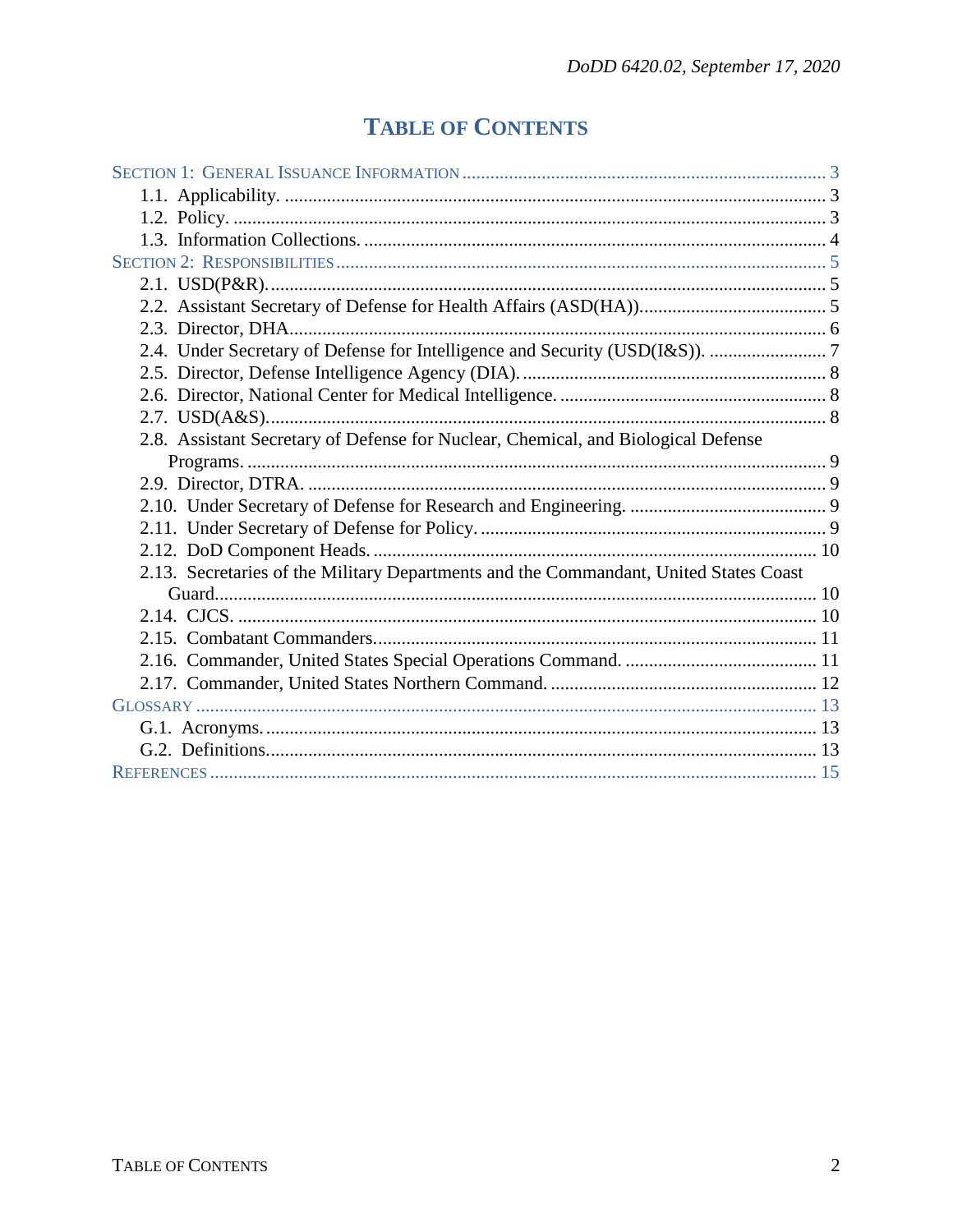# **TABLE OF CONTENTS**

| 2.8. Assistant Secretary of Defense for Nuclear, Chemical, and Biological Defense     |  |
|---------------------------------------------------------------------------------------|--|
|                                                                                       |  |
|                                                                                       |  |
|                                                                                       |  |
|                                                                                       |  |
|                                                                                       |  |
| 2.13. Secretaries of the Military Departments and the Commandant, United States Coast |  |
|                                                                                       |  |
|                                                                                       |  |
|                                                                                       |  |
|                                                                                       |  |
|                                                                                       |  |
|                                                                                       |  |
|                                                                                       |  |
|                                                                                       |  |
|                                                                                       |  |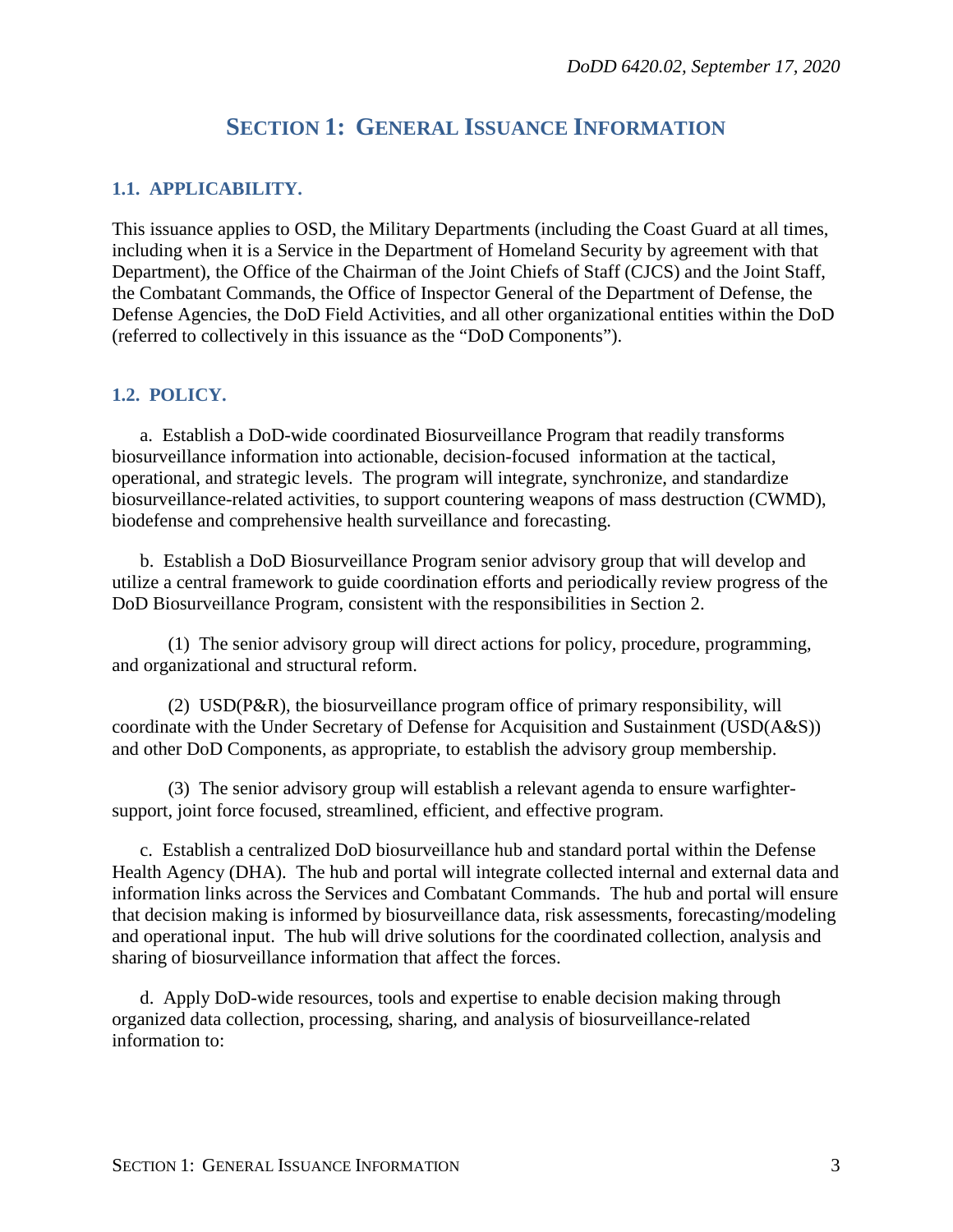## **SECTION 1: GENERAL ISSUANCE INFORMATION**

#### <span id="page-2-1"></span><span id="page-2-0"></span>**1.1. APPLICABILITY.**

This issuance applies to OSD, the Military Departments (including the Coast Guard at all times, including when it is a Service in the Department of Homeland Security by agreement with that Department), the Office of the Chairman of the Joint Chiefs of Staff (CJCS) and the Joint Staff, the Combatant Commands, the Office of Inspector General of the Department of Defense, the Defense Agencies, the DoD Field Activities, and all other organizational entities within the DoD (referred to collectively in this issuance as the "DoD Components").

#### <span id="page-2-2"></span>**1.2. POLICY.**

a. Establish a DoD-wide coordinated Biosurveillance Program that readily transforms biosurveillance information into actionable, decision-focused information at the tactical, operational, and strategic levels. The program will integrate, synchronize, and standardize biosurveillance-related activities, to support countering weapons of mass destruction (CWMD), biodefense and comprehensive health surveillance and forecasting.

b. Establish a DoD Biosurveillance Program senior advisory group that will develop and utilize a central framework to guide coordination efforts and periodically review progress of the DoD Biosurveillance Program, consistent with the responsibilities in Section 2.

(1) The senior advisory group will direct actions for policy, procedure, programming, and organizational and structural reform.

(2) USD(P&R), the biosurveillance program office of primary responsibility, will coordinate with the Under Secretary of Defense for Acquisition and Sustainment (USD(A&S)) and other DoD Components, as appropriate, to establish the advisory group membership.

(3) The senior advisory group will establish a relevant agenda to ensure warfightersupport, joint force focused, streamlined, efficient, and effective program.

c. Establish a centralized DoD biosurveillance hub and standard portal within the Defense Health Agency (DHA). The hub and portal will integrate collected internal and external data and information links across the Services and Combatant Commands. The hub and portal will ensure that decision making is informed by biosurveillance data, risk assessments, forecasting/modeling and operational input. The hub will drive solutions for the coordinated collection, analysis and sharing of biosurveillance information that affect the forces.

d. Apply DoD-wide resources, tools and expertise to enable decision making through organized data collection, processing, sharing, and analysis of biosurveillance-related information to: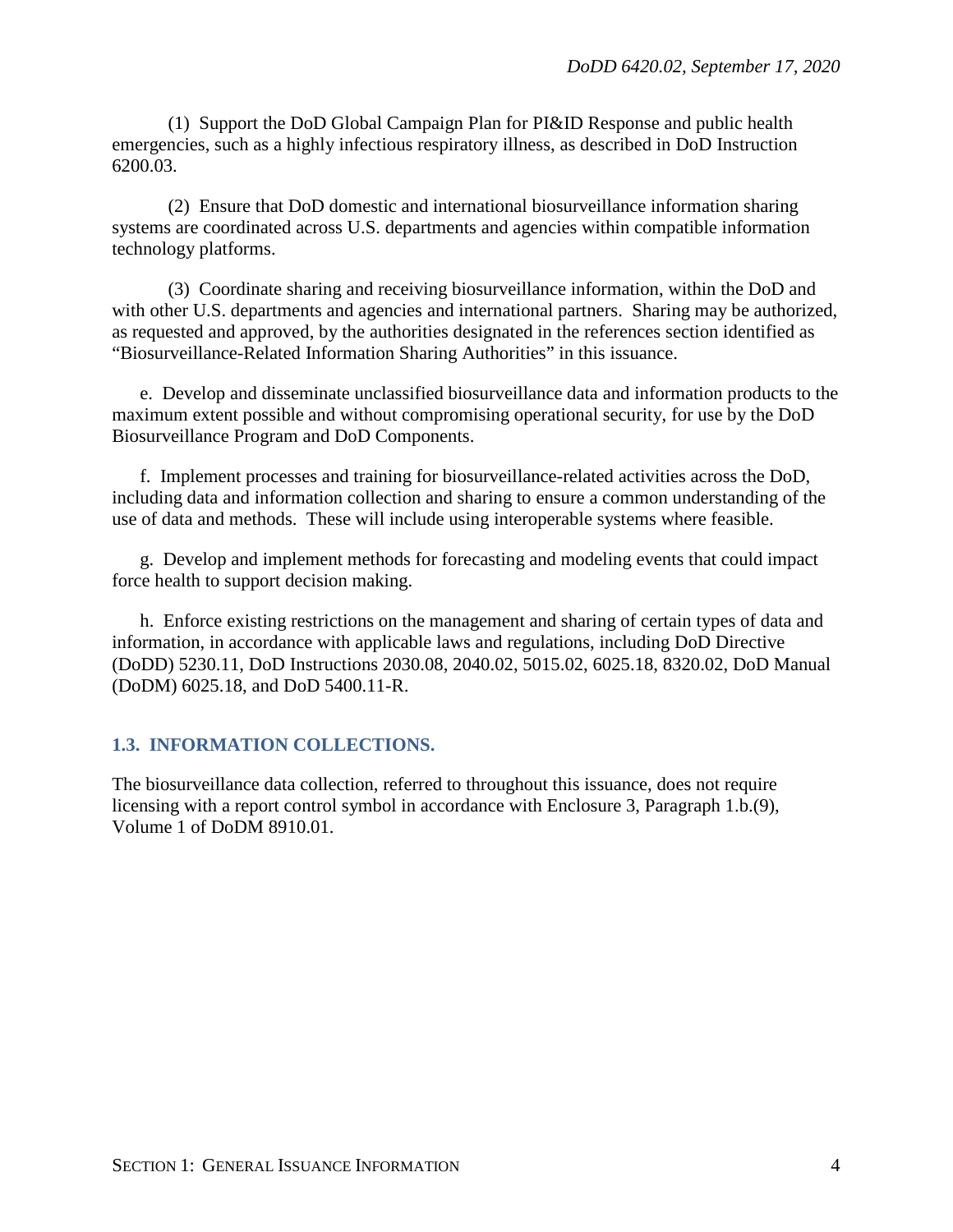(1) Support the DoD Global Campaign Plan for PI&ID Response and public health emergencies, such as a highly infectious respiratory illness, as described in DoD Instruction 6200.03.

(2) Ensure that DoD domestic and international biosurveillance information sharing systems are coordinated across U.S. departments and agencies within compatible information technology platforms.

(3) Coordinate sharing and receiving biosurveillance information, within the DoD and with other U.S. departments and agencies and international partners. Sharing may be authorized, as requested and approved, by the authorities designated in the references section identified as "Biosurveillance-Related Information Sharing Authorities" in this issuance.

e. Develop and disseminate unclassified biosurveillance data and information products to the maximum extent possible and without compromising operational security, for use by the DoD Biosurveillance Program and DoD Components.

f. Implement processes and training for biosurveillance-related activities across the DoD, including data and information collection and sharing to ensure a common understanding of the use of data and methods. These will include using interoperable systems where feasible.

g. Develop and implement methods for forecasting and modeling events that could impact force health to support decision making.

h. Enforce existing restrictions on the management and sharing of certain types of data and information, in accordance with applicable laws and regulations, including DoD Directive (DoDD) 5230.11, DoD Instructions 2030.08, 2040.02, 5015.02, 6025.18, 8320.02, DoD Manual (DoDM) 6025.18, and DoD 5400.11-R.

### <span id="page-3-0"></span>**1.3. INFORMATION COLLECTIONS.**

The biosurveillance data collection, referred to throughout this issuance, does not require licensing with a report control symbol in accordance with Enclosure 3, Paragraph 1.b.(9), Volume 1 of DoDM 8910.01.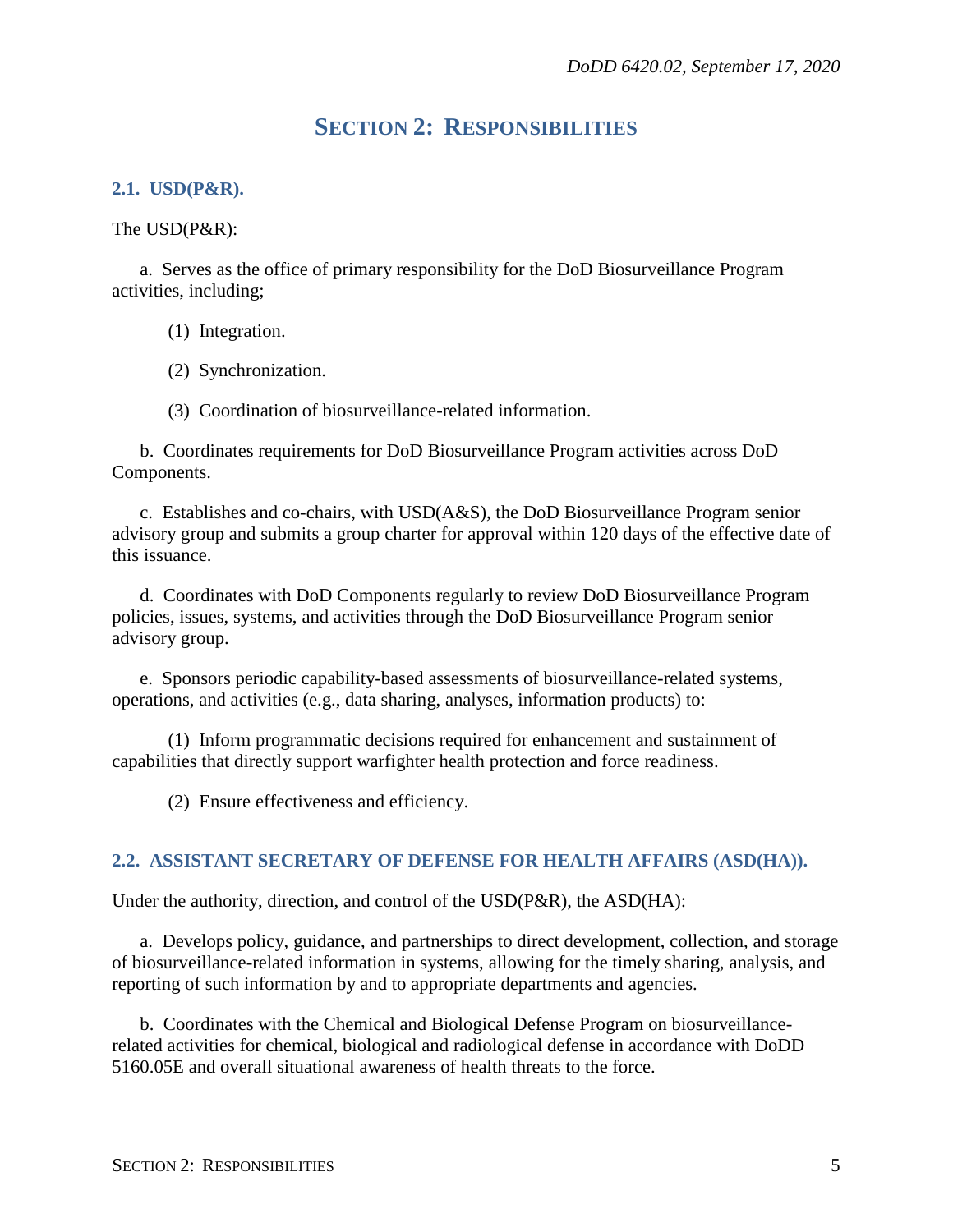## **SECTION 2: RESPONSIBILITIES**

#### <span id="page-4-1"></span><span id="page-4-0"></span>**2.1. USD(P&R).**

The USD(P&R):

a. Serves as the office of primary responsibility for the DoD Biosurveillance Program activities, including;

(1) Integration.

(2) Synchronization.

(3) Coordination of biosurveillance-related information.

b. Coordinates requirements for DoD Biosurveillance Program activities across DoD Components.

c. Establishes and co-chairs, with USD(A&S), the DoD Biosurveillance Program senior advisory group and submits a group charter for approval within 120 days of the effective date of this issuance.

d. Coordinates with DoD Components regularly to review DoD Biosurveillance Program policies, issues, systems, and activities through the DoD Biosurveillance Program senior advisory group.

e. Sponsors periodic capability-based assessments of biosurveillance-related systems, operations, and activities (e.g., data sharing, analyses, information products) to:

(1) Inform programmatic decisions required for enhancement and sustainment of capabilities that directly support warfighter health protection and force readiness.

(2) Ensure effectiveness and efficiency.

#### <span id="page-4-2"></span>**2.2. ASSISTANT SECRETARY OF DEFENSE FOR HEALTH AFFAIRS (ASD(HA)).**

Under the authority, direction, and control of the USD(P&R), the ASD(HA):

a. Develops policy, guidance, and partnerships to direct development, collection, and storage of biosurveillance-related information in systems, allowing for the timely sharing, analysis, and reporting of such information by and to appropriate departments and agencies.

b. Coordinates with the Chemical and Biological Defense Program on biosurveillancerelated activities for chemical, biological and radiological defense in accordance with DoDD 5160.05E and overall situational awareness of health threats to the force.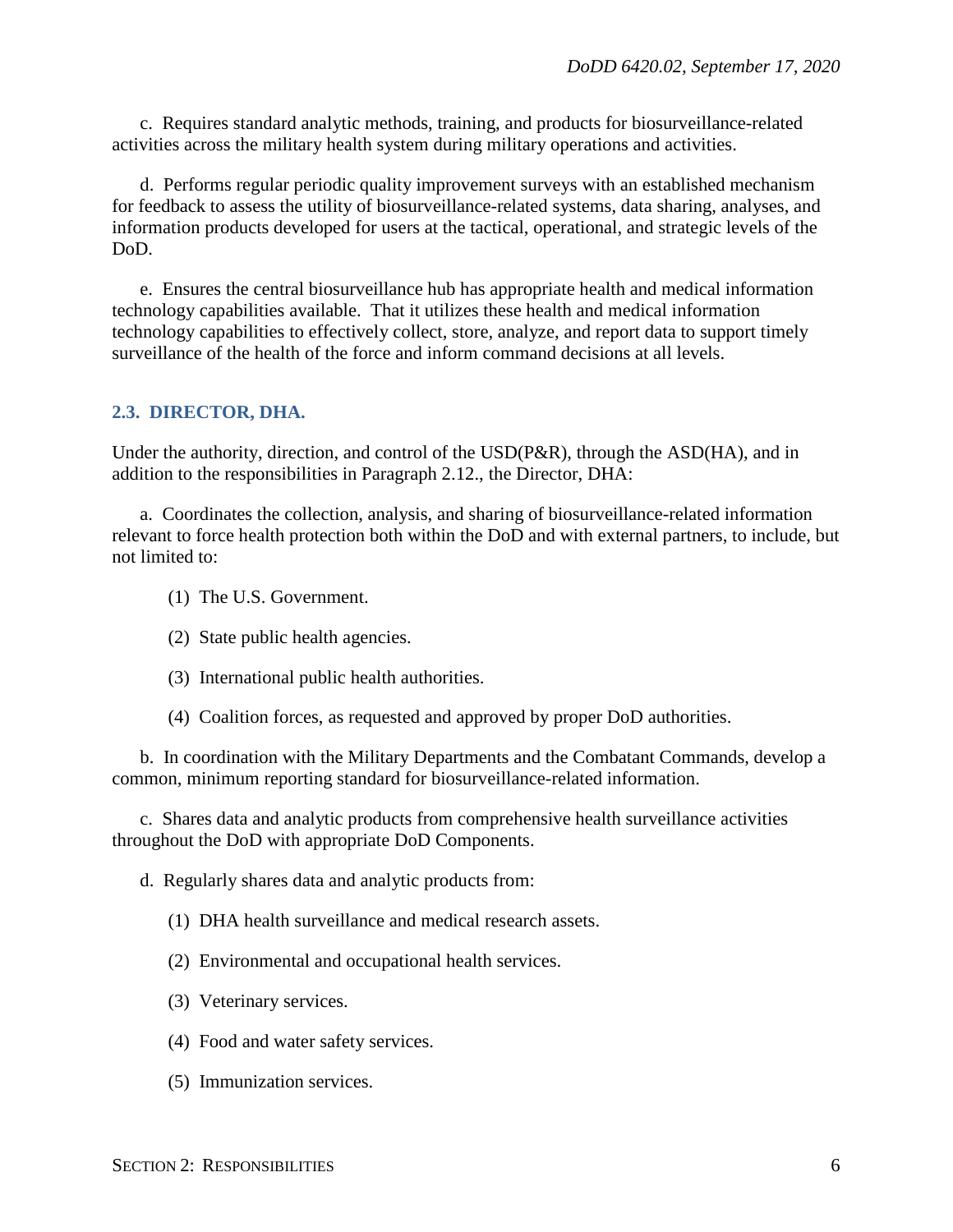c. Requires standard analytic methods, training, and products for biosurveillance-related activities across the military health system during military operations and activities.

d. Performs regular periodic quality improvement surveys with an established mechanism for feedback to assess the utility of biosurveillance-related systems, data sharing, analyses, and information products developed for users at the tactical, operational, and strategic levels of the DoD.

e. Ensures the central biosurveillance hub has appropriate health and medical information technology capabilities available. That it utilizes these health and medical information technology capabilities to effectively collect, store, analyze, and report data to support timely surveillance of the health of the force and inform command decisions at all levels.

#### <span id="page-5-0"></span>**2.3. DIRECTOR, DHA.**

Under the authority, direction, and control of the USD(P&R), through the ASD(HA), and in addition to the responsibilities in Paragraph 2.12., the Director, DHA:

a. Coordinates the collection, analysis, and sharing of biosurveillance-related information relevant to force health protection both within the DoD and with external partners, to include, but not limited to:

- (1) The U.S. Government.
- (2) State public health agencies.
- (3) International public health authorities.
- (4) Coalition forces, as requested and approved by proper DoD authorities.

b. In coordination with the Military Departments and the Combatant Commands, develop a common, minimum reporting standard for biosurveillance-related information.

c. Shares data and analytic products from comprehensive health surveillance activities throughout the DoD with appropriate DoD Components.

d. Regularly shares data and analytic products from:

- (1) DHA health surveillance and medical research assets.
- (2) Environmental and occupational health services.
- (3) Veterinary services.
- (4) Food and water safety services.
- (5) Immunization services.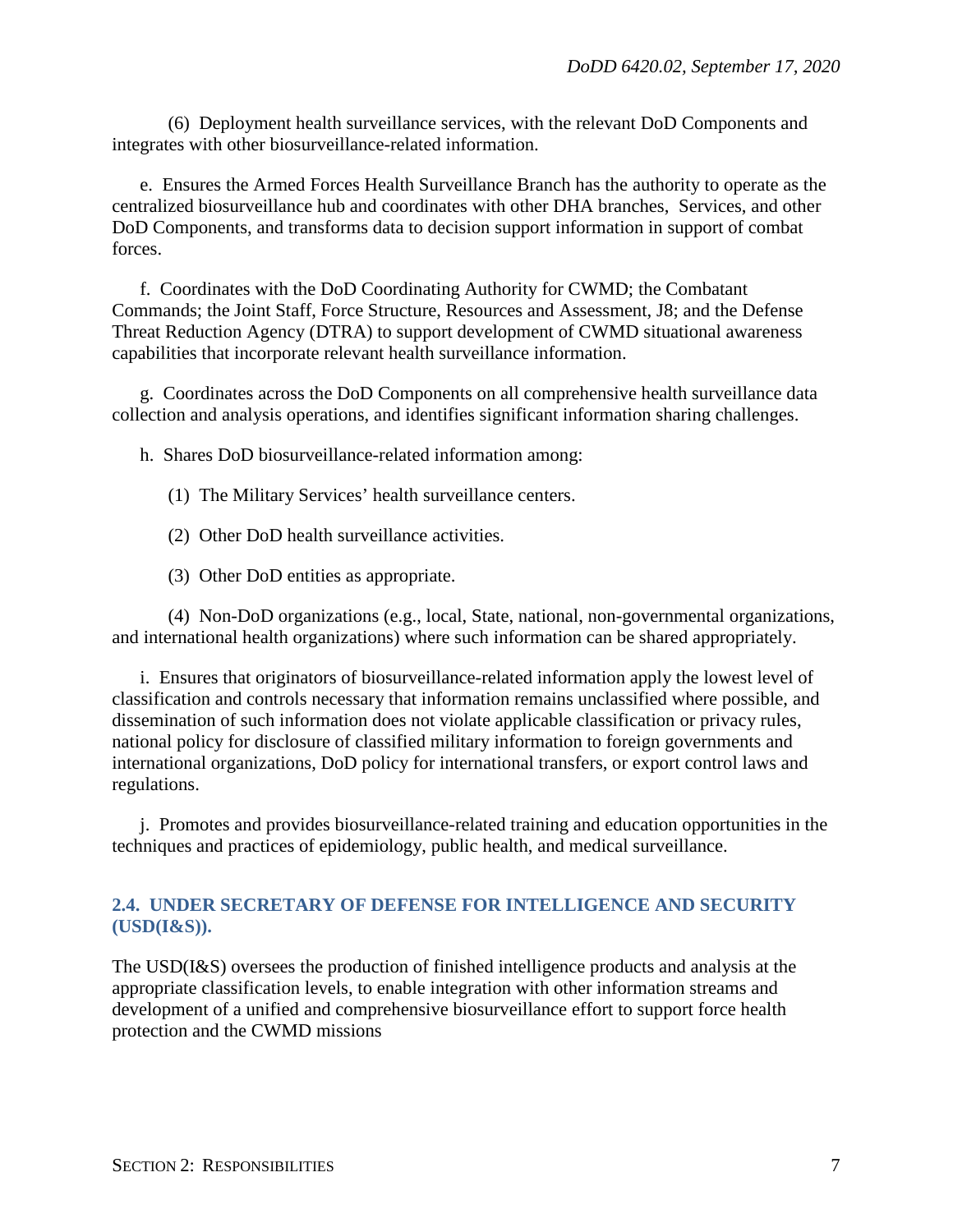(6) Deployment health surveillance services, with the relevant DoD Components and integrates with other biosurveillance-related information.

e. Ensures the Armed Forces Health Surveillance Branch has the authority to operate as the centralized biosurveillance hub and coordinates with other DHA branches, Services, and other DoD Components, and transforms data to decision support information in support of combat forces.

f. Coordinates with the DoD Coordinating Authority for CWMD; the Combatant Commands; the Joint Staff, Force Structure, Resources and Assessment, J8; and the Defense Threat Reduction Agency (DTRA) to support development of CWMD situational awareness capabilities that incorporate relevant health surveillance information.

g. Coordinates across the DoD Components on all comprehensive health surveillance data collection and analysis operations, and identifies significant information sharing challenges.

h. Shares DoD biosurveillance-related information among:

- (1) The Military Services' health surveillance centers.
- (2) Other DoD health surveillance activities.
- (3) Other DoD entities as appropriate.

(4) Non-DoD organizations (e.g., local, State, national, non-governmental organizations, and international health organizations) where such information can be shared appropriately.

i. Ensures that originators of biosurveillance-related information apply the lowest level of classification and controls necessary that information remains unclassified where possible, and dissemination of such information does not violate applicable classification or privacy rules, national policy for disclosure of classified military information to foreign governments and international organizations, DoD policy for international transfers, or export control laws and regulations.

j. Promotes and provides biosurveillance-related training and education opportunities in the techniques and practices of epidemiology, public health, and medical surveillance.

#### <span id="page-6-0"></span>**2.4. UNDER SECRETARY OF DEFENSE FOR INTELLIGENCE AND SECURITY (USD(I&S)).**

The USD(I&S) oversees the production of finished intelligence products and analysis at the appropriate classification levels, to enable integration with other information streams and development of a unified and comprehensive biosurveillance effort to support force health protection and the CWMD missions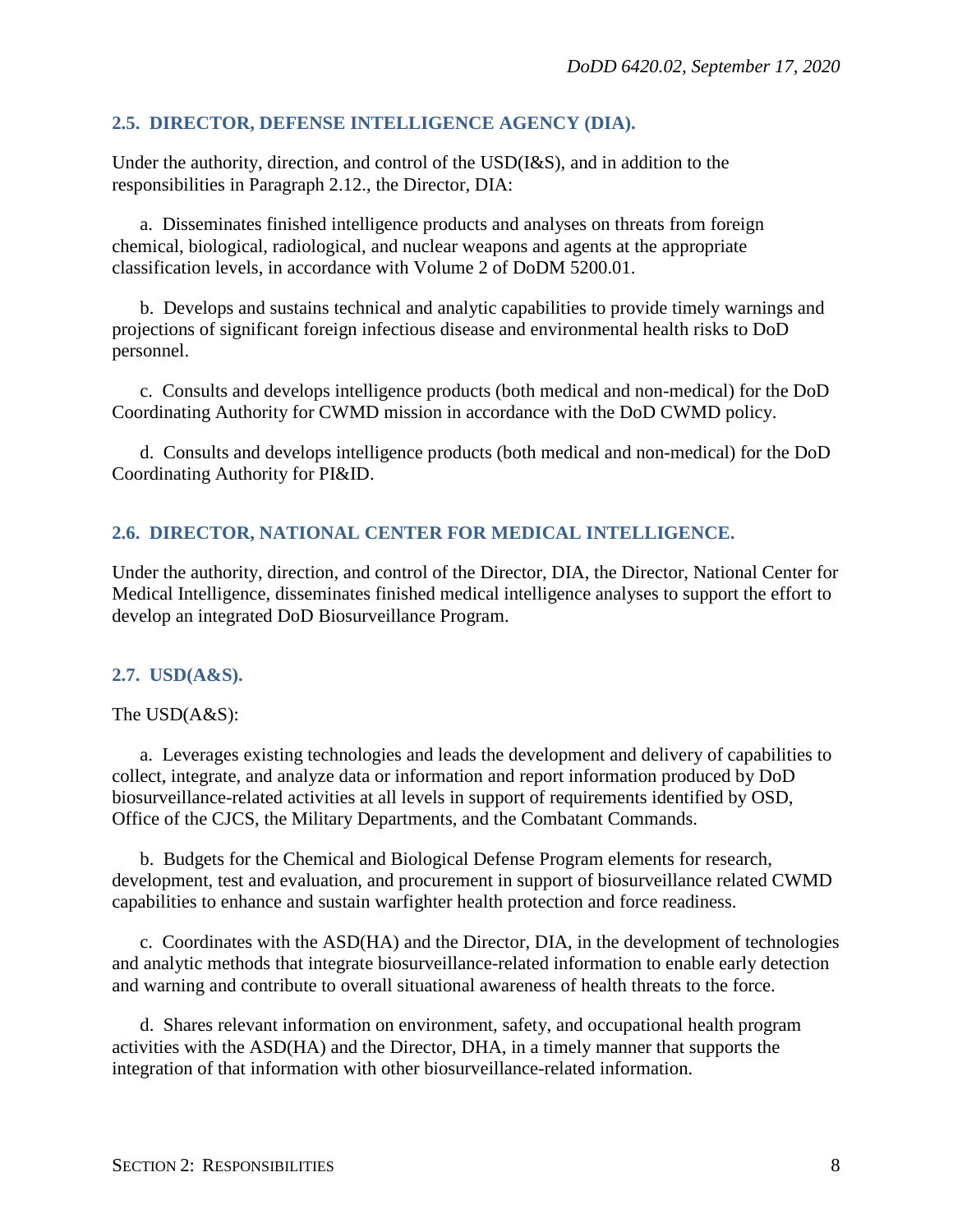## <span id="page-7-0"></span>**2.5. DIRECTOR, DEFENSE INTELLIGENCE AGENCY (DIA).**

Under the authority, direction, and control of the USD(I&S), and in addition to the responsibilities in Paragraph 2.12., the Director, DIA:

a. Disseminates finished intelligence products and analyses on threats from foreign chemical, biological, radiological, and nuclear weapons and agents at the appropriate classification levels, in accordance with Volume 2 of DoDM 5200.01.

b. Develops and sustains technical and analytic capabilities to provide timely warnings and projections of significant foreign infectious disease and environmental health risks to DoD personnel.

c. Consults and develops intelligence products (both medical and non-medical) for the DoD Coordinating Authority for CWMD mission in accordance with the DoD CWMD policy.

d. Consults and develops intelligence products (both medical and non-medical) for the DoD Coordinating Authority for PI&ID.

### <span id="page-7-1"></span>**2.6. DIRECTOR, NATIONAL CENTER FOR MEDICAL INTELLIGENCE.**

Under the authority, direction, and control of the Director, DIA, the Director, National Center for Medical Intelligence, disseminates finished medical intelligence analyses to support the effort to develop an integrated DoD Biosurveillance Program.

### <span id="page-7-2"></span>**2.7. USD(A&S).**

The USD(A&S):

a. Leverages existing technologies and leads the development and delivery of capabilities to collect, integrate, and analyze data or information and report information produced by DoD biosurveillance-related activities at all levels in support of requirements identified by OSD, Office of the CJCS, the Military Departments, and the Combatant Commands.

b. Budgets for the Chemical and Biological Defense Program elements for research, development, test and evaluation, and procurement in support of biosurveillance related CWMD capabilities to enhance and sustain warfighter health protection and force readiness.

c. Coordinates with the ASD(HA) and the Director, DIA, in the development of technologies and analytic methods that integrate biosurveillance-related information to enable early detection and warning and contribute to overall situational awareness of health threats to the force.

d. Shares relevant information on environment, safety, and occupational health program activities with the ASD(HA) and the Director, DHA, in a timely manner that supports the integration of that information with other biosurveillance-related information.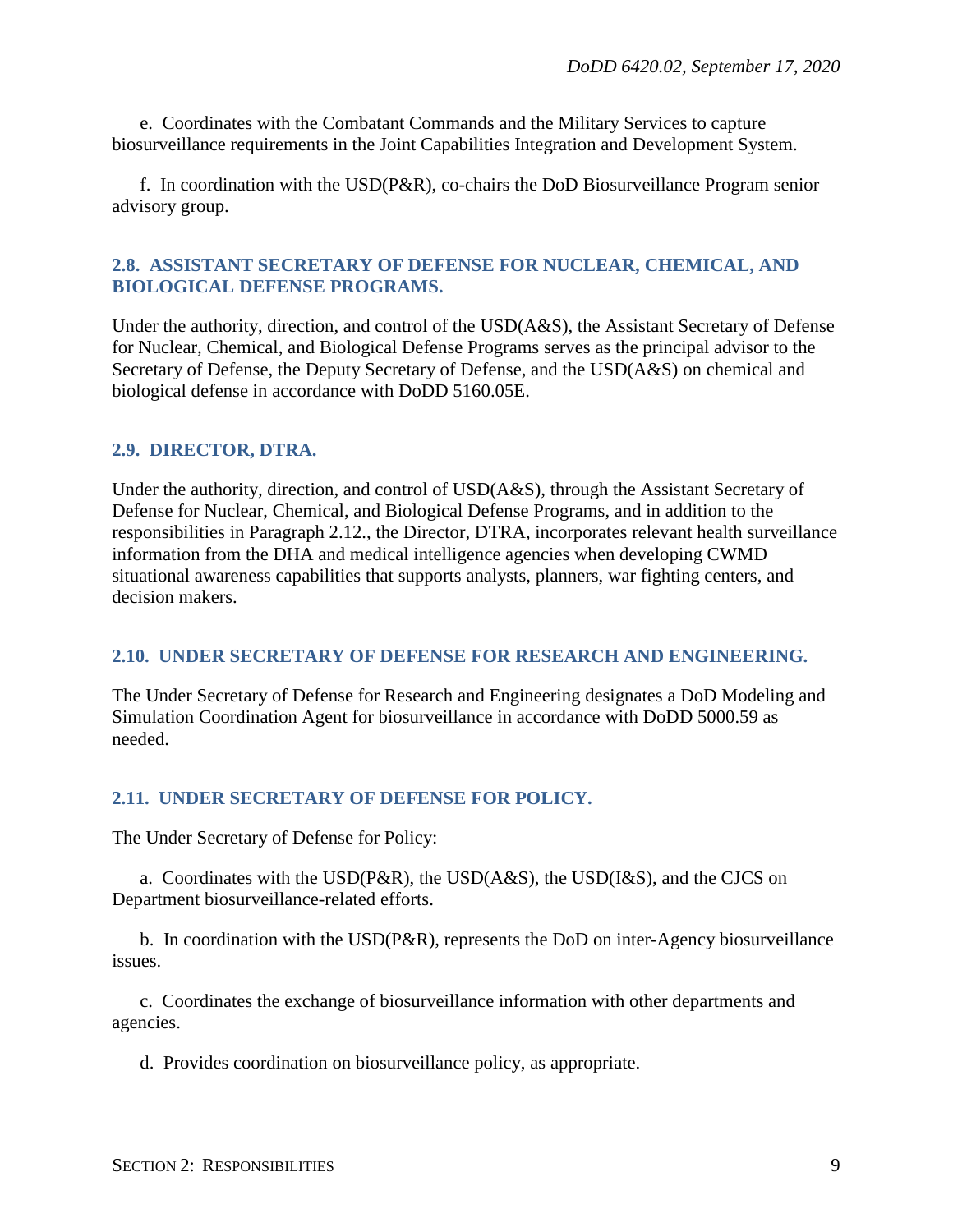e. Coordinates with the Combatant Commands and the Military Services to capture biosurveillance requirements in the Joint Capabilities Integration and Development System.

f. In coordination with the USD(P&R), co-chairs the DoD Biosurveillance Program senior advisory group.

#### <span id="page-8-0"></span>**2.8. ASSISTANT SECRETARY OF DEFENSE FOR NUCLEAR, CHEMICAL, AND BIOLOGICAL DEFENSE PROGRAMS.**

Under the authority, direction, and control of the USD(A&S), the Assistant Secretary of Defense for Nuclear, Chemical, and Biological Defense Programs serves as the principal advisor to the Secretary of Defense, the Deputy Secretary of Defense, and the USD(A&S) on chemical and biological defense in accordance with DoDD 5160.05E.

### <span id="page-8-1"></span>**2.9. DIRECTOR, DTRA.**

Under the authority, direction, and control of USD(A&S), through the Assistant Secretary of Defense for Nuclear, Chemical, and Biological Defense Programs, and in addition to the responsibilities in Paragraph 2.12., the Director, DTRA, incorporates relevant health surveillance information from the DHA and medical intelligence agencies when developing CWMD situational awareness capabilities that supports analysts, planners, war fighting centers, and decision makers.

### <span id="page-8-2"></span>**2.10. UNDER SECRETARY OF DEFENSE FOR RESEARCH AND ENGINEERING.**

The Under Secretary of Defense for Research and Engineering designates a DoD Modeling and Simulation Coordination Agent for biosurveillance in accordance with DoDD 5000.59 as needed.

### <span id="page-8-3"></span>**2.11. UNDER SECRETARY OF DEFENSE FOR POLICY.**

The Under Secretary of Defense for Policy:

a. Coordinates with the USD( $P\&R$ ), the USD( $A\&S$ ), the USD( $I\&S$ ), and the CJCS on Department biosurveillance-related efforts.

b. In coordination with the USD(P&R), represents the DoD on inter-Agency biosurveillance issues.

c. Coordinates the exchange of biosurveillance information with other departments and agencies.

d. Provides coordination on biosurveillance policy, as appropriate.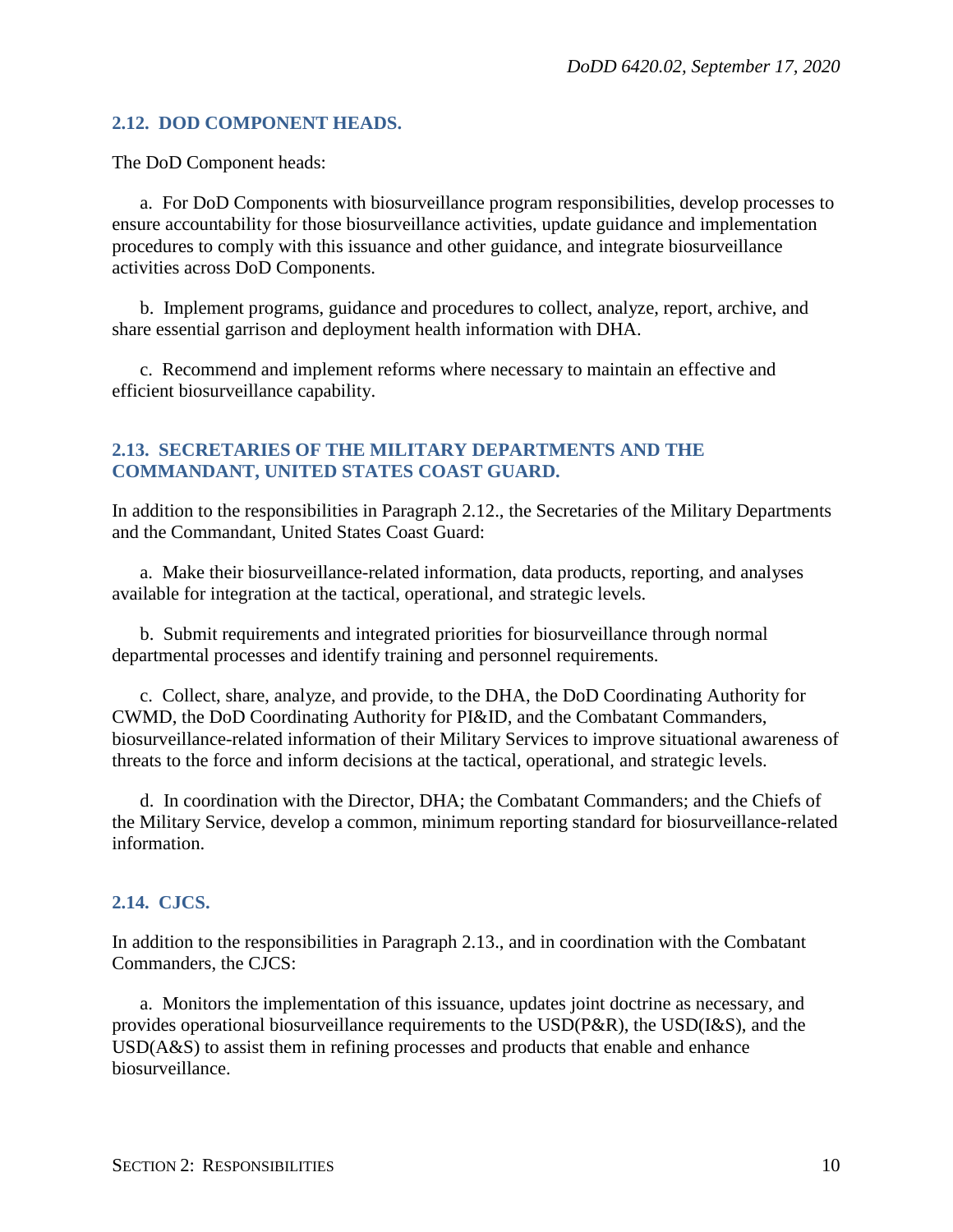#### <span id="page-9-0"></span>**2.12. DOD COMPONENT HEADS.**

The DoD Component heads:

a. For DoD Components with biosurveillance program responsibilities, develop processes to ensure accountability for those biosurveillance activities, update guidance and implementation procedures to comply with this issuance and other guidance, and integrate biosurveillance activities across DoD Components.

b. Implement programs, guidance and procedures to collect, analyze, report, archive, and share essential garrison and deployment health information with DHA.

c. Recommend and implement reforms where necessary to maintain an effective and efficient biosurveillance capability.

#### <span id="page-9-1"></span>**2.13. SECRETARIES OF THE MILITARY DEPARTMENTS AND THE COMMANDANT, UNITED STATES COAST GUARD.**

In addition to the responsibilities in Paragraph 2.12., the Secretaries of the Military Departments and the Commandant, United States Coast Guard:

a. Make their biosurveillance-related information, data products, reporting, and analyses available for integration at the tactical, operational, and strategic levels.

b. Submit requirements and integrated priorities for biosurveillance through normal departmental processes and identify training and personnel requirements.

c. Collect, share, analyze, and provide, to the DHA, the DoD Coordinating Authority for CWMD, the DoD Coordinating Authority for PI&ID, and the Combatant Commanders, biosurveillance-related information of their Military Services to improve situational awareness of threats to the force and inform decisions at the tactical, operational, and strategic levels.

d. In coordination with the Director, DHA; the Combatant Commanders; and the Chiefs of the Military Service, develop a common, minimum reporting standard for biosurveillance-related information.

### <span id="page-9-2"></span>**2.14. CJCS.**

In addition to the responsibilities in Paragraph 2.13., and in coordination with the Combatant Commanders, the CJCS:

a. Monitors the implementation of this issuance, updates joint doctrine as necessary, and provides operational biosurveillance requirements to the USD(P&R), the USD(I&S), and the USD(A&S) to assist them in refining processes and products that enable and enhance biosurveillance.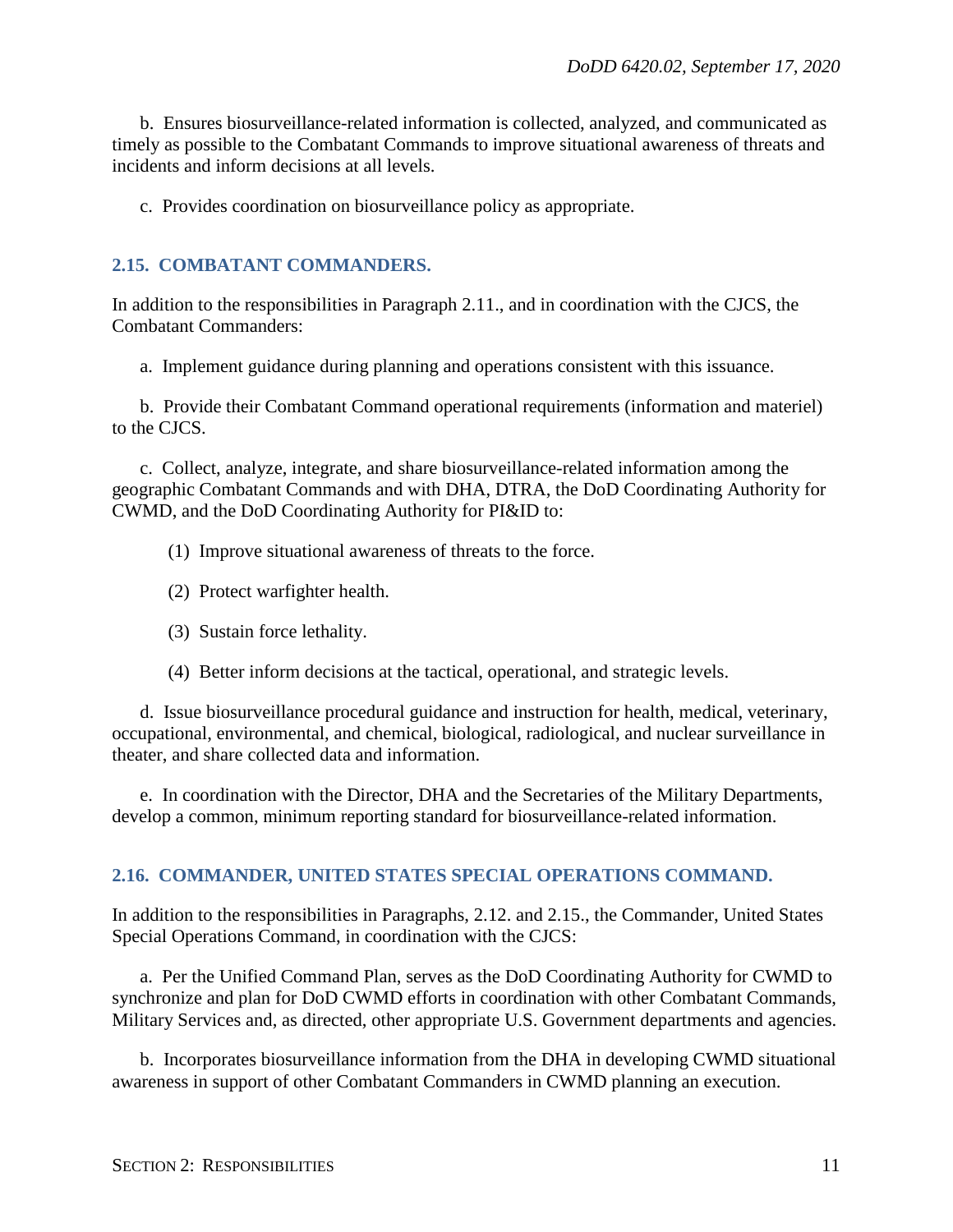b. Ensures biosurveillance-related information is collected, analyzed, and communicated as timely as possible to the Combatant Commands to improve situational awareness of threats and incidents and inform decisions at all levels.

c. Provides coordination on biosurveillance policy as appropriate.

#### <span id="page-10-0"></span>**2.15. COMBATANT COMMANDERS.**

In addition to the responsibilities in Paragraph 2.11., and in coordination with the CJCS, the Combatant Commanders:

a. Implement guidance during planning and operations consistent with this issuance.

b. Provide their Combatant Command operational requirements (information and materiel) to the CJCS.

c. Collect, analyze, integrate, and share biosurveillance-related information among the geographic Combatant Commands and with DHA, DTRA, the DoD Coordinating Authority for CWMD, and the DoD Coordinating Authority for PI&ID to:

- (1) Improve situational awareness of threats to the force.
- (2) Protect warfighter health.
- (3) Sustain force lethality.
- (4) Better inform decisions at the tactical, operational, and strategic levels.

d. Issue biosurveillance procedural guidance and instruction for health, medical, veterinary, occupational, environmental, and chemical, biological, radiological, and nuclear surveillance in theater, and share collected data and information.

e. In coordination with the Director, DHA and the Secretaries of the Military Departments, develop a common, minimum reporting standard for biosurveillance-related information.

#### <span id="page-10-1"></span>**2.16. COMMANDER, UNITED STATES SPECIAL OPERATIONS COMMAND.**

In addition to the responsibilities in Paragraphs, 2.12. and 2.15., the Commander, United States Special Operations Command, in coordination with the CJCS:

a. Per the Unified Command Plan, serves as the DoD Coordinating Authority for CWMD to synchronize and plan for DoD CWMD efforts in coordination with other Combatant Commands, Military Services and, as directed, other appropriate U.S. Government departments and agencies.

b. Incorporates biosurveillance information from the DHA in developing CWMD situational awareness in support of other Combatant Commanders in CWMD planning an execution.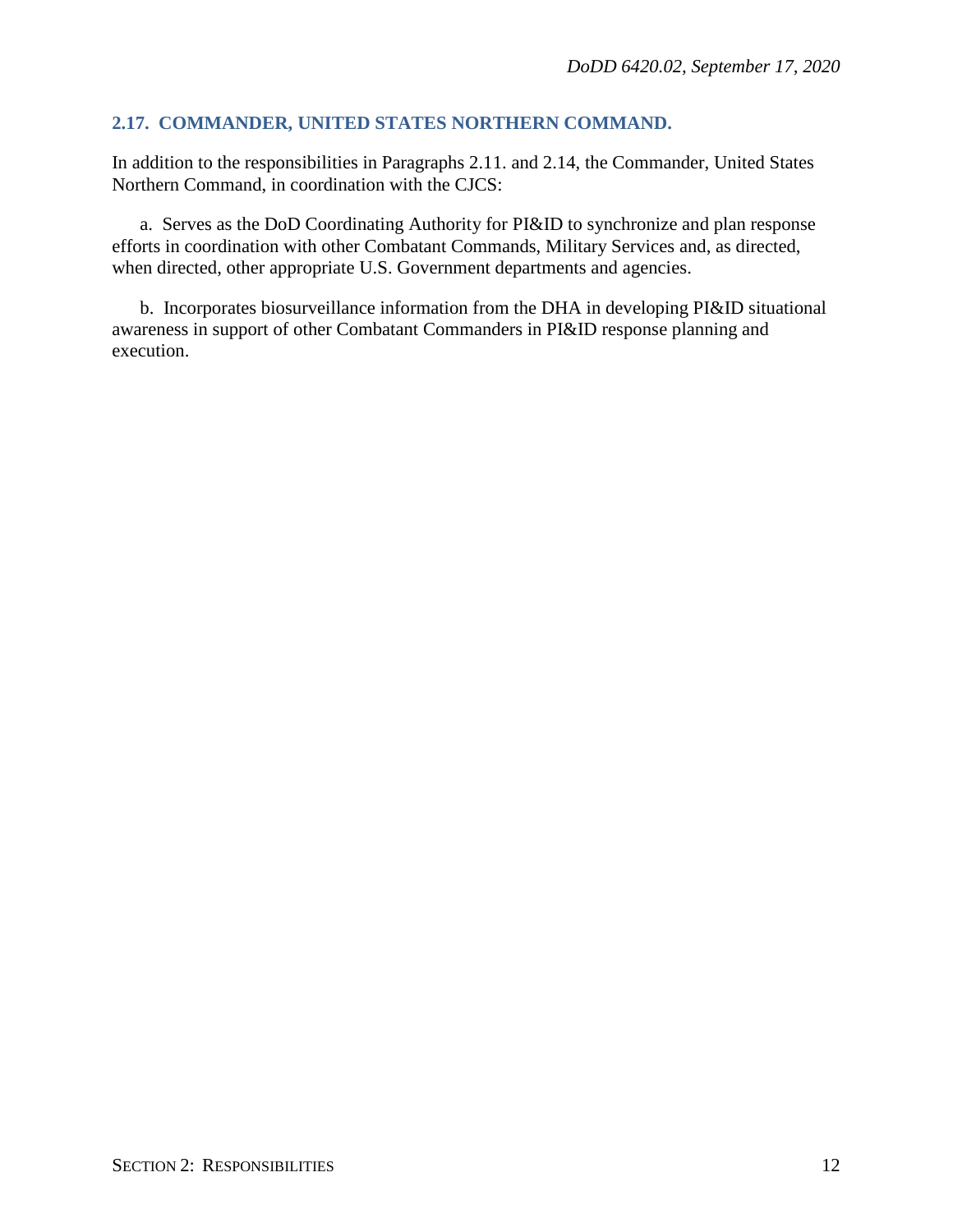#### <span id="page-11-0"></span>**2.17. COMMANDER, UNITED STATES NORTHERN COMMAND.**

In addition to the responsibilities in Paragraphs 2.11. and 2.14, the Commander, United States Northern Command, in coordination with the CJCS:

a. Serves as the DoD Coordinating Authority for PI&ID to synchronize and plan response efforts in coordination with other Combatant Commands, Military Services and, as directed, when directed, other appropriate U.S. Government departments and agencies.

b. Incorporates biosurveillance information from the DHA in developing PI&ID situational awareness in support of other Combatant Commanders in PI&ID response planning and execution.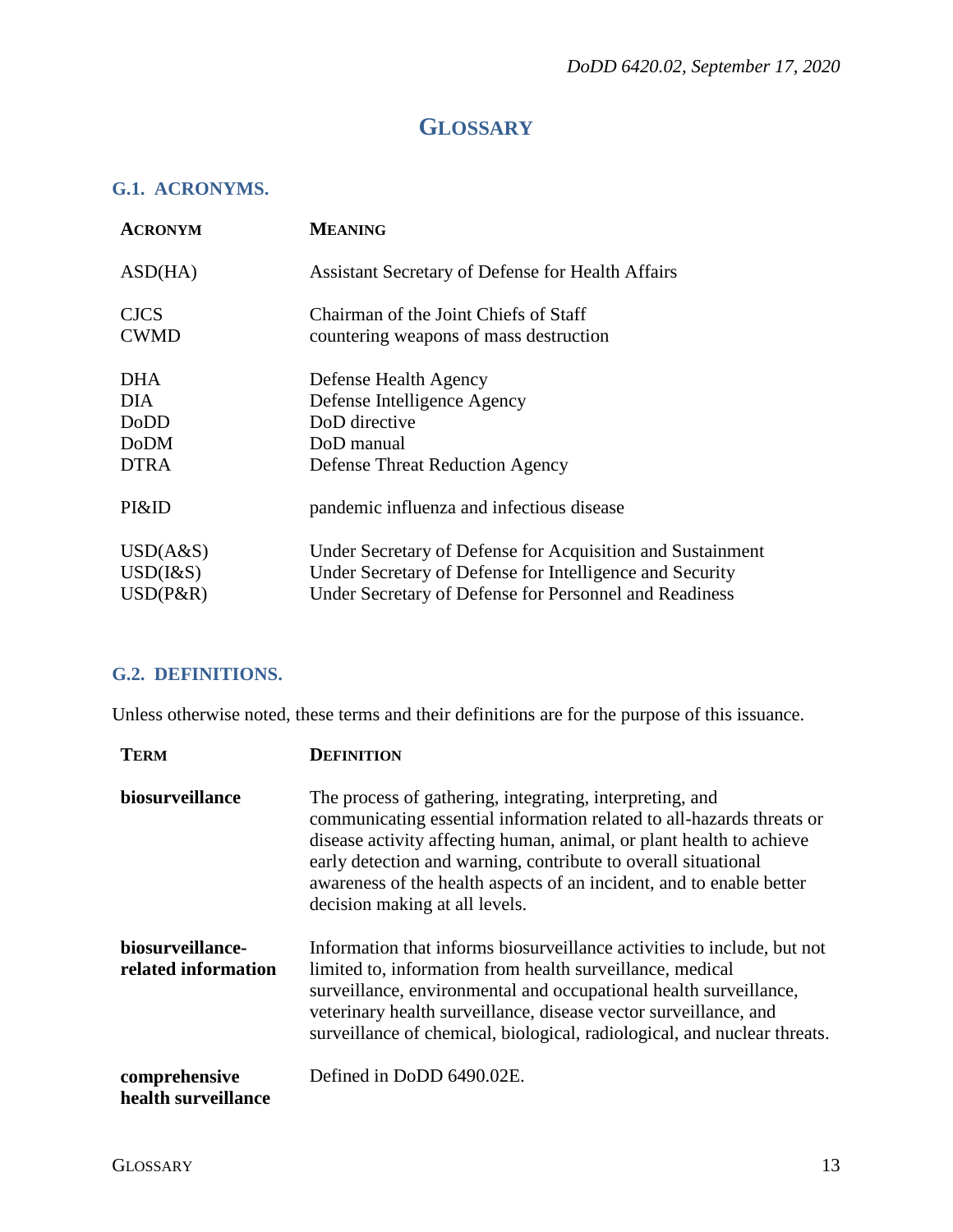# **GLOSSARY**

## <span id="page-12-1"></span><span id="page-12-0"></span>**G.1. ACRONYMS.**

| <b>ACRONYM</b>  | <b>MEANING</b>                                             |
|-----------------|------------------------------------------------------------|
| ASD(HA)         | <b>Assistant Secretary of Defense for Health Affairs</b>   |
| <b>CJCS</b>     | Chairman of the Joint Chiefs of Staff                      |
| <b>CWMD</b>     | countering weapons of mass destruction                     |
| DHA.            | Defense Health Agency                                      |
| <b>DIA</b>      | Defense Intelligence Agency                                |
| DoDD            | DoD directive                                              |
| <b>DoDM</b>     | DoD manual                                                 |
| <b>DTRA</b>     | <b>Defense Threat Reduction Agency</b>                     |
| PI&ID           | pandemic influenza and infectious disease                  |
| USD(A&S)        | Under Secretary of Defense for Acquisition and Sustainment |
| $USD$ ( $\&$ S) | Under Secretary of Defense for Intelligence and Security   |
| $USD(P\&R)$     | Under Secretary of Defense for Personnel and Readiness     |

## <span id="page-12-2"></span>**G.2. DEFINITIONS.**

Unless otherwise noted, these terms and their definitions are for the purpose of this issuance.

| <b>TERM</b>                             | <b>DEFINITION</b>                                                                                                                                                                                                                                                                                                                                                                     |
|-----------------------------------------|---------------------------------------------------------------------------------------------------------------------------------------------------------------------------------------------------------------------------------------------------------------------------------------------------------------------------------------------------------------------------------------|
| biosurveillance                         | The process of gathering, integrating, interpreting, and<br>communicating essential information related to all-hazards threats or<br>disease activity affecting human, animal, or plant health to achieve<br>early detection and warning, contribute to overall situational<br>awareness of the health aspects of an incident, and to enable better<br>decision making at all levels. |
| biosurveillance-<br>related information | Information that informs biosurveillance activities to include, but not<br>limited to, information from health surveillance, medical<br>surveillance, environmental and occupational health surveillance,<br>veterinary health surveillance, disease vector surveillance, and<br>surveillance of chemical, biological, radiological, and nuclear threats.                             |
| comprehensive<br>health surveillance    | Defined in DoDD 6490.02E.                                                                                                                                                                                                                                                                                                                                                             |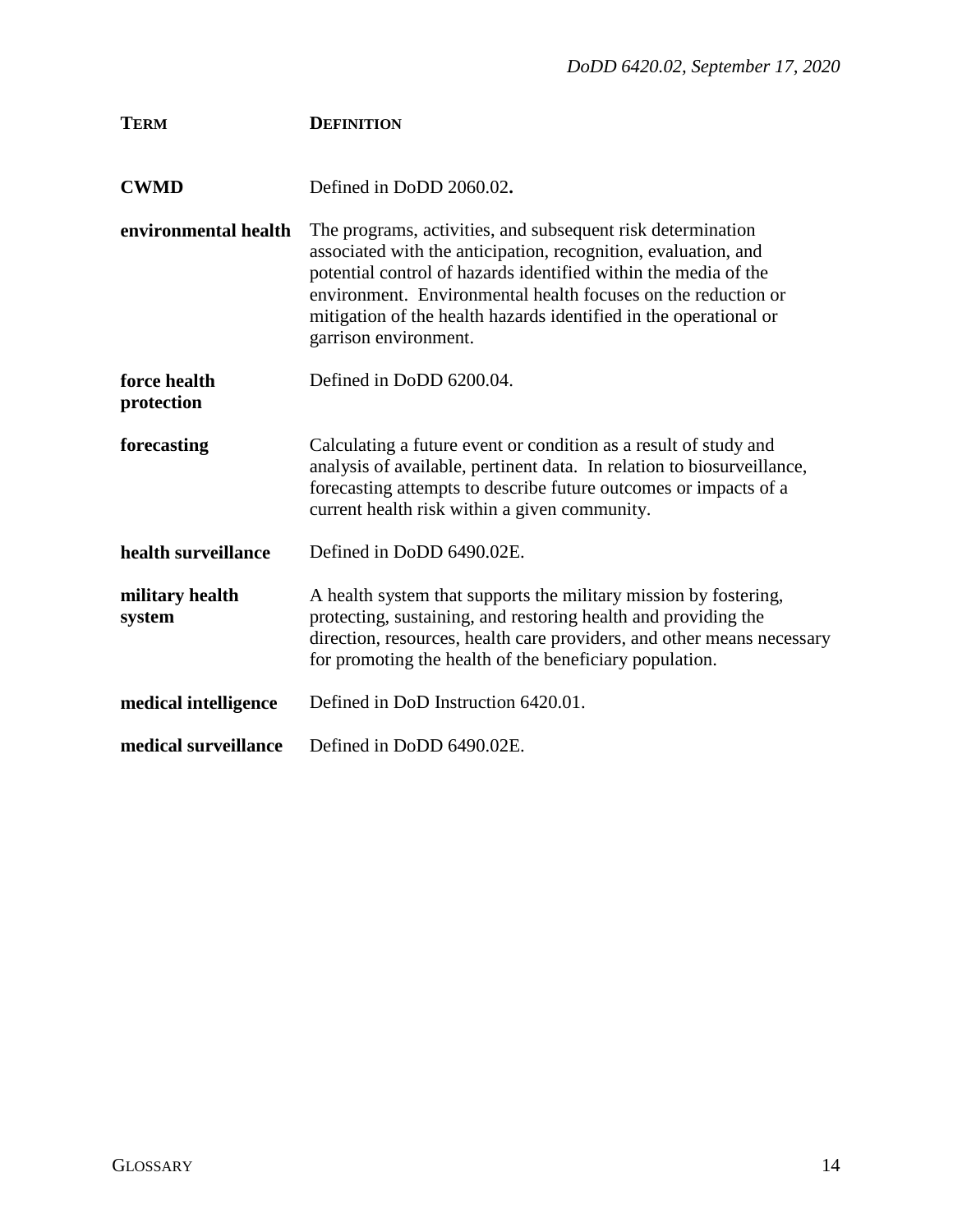| <b>TERM</b>                | <b>DEFINITION</b>                                                                                                                                                                                                                                                                                                                                               |
|----------------------------|-----------------------------------------------------------------------------------------------------------------------------------------------------------------------------------------------------------------------------------------------------------------------------------------------------------------------------------------------------------------|
| <b>CWMD</b>                | Defined in DoDD 2060.02.                                                                                                                                                                                                                                                                                                                                        |
| environmental health       | The programs, activities, and subsequent risk determination<br>associated with the anticipation, recognition, evaluation, and<br>potential control of hazards identified within the media of the<br>environment. Environmental health focuses on the reduction or<br>mitigation of the health hazards identified in the operational or<br>garrison environment. |
| force health<br>protection | Defined in DoDD 6200.04.                                                                                                                                                                                                                                                                                                                                        |
| forecasting                | Calculating a future event or condition as a result of study and<br>analysis of available, pertinent data. In relation to biosurveillance,<br>forecasting attempts to describe future outcomes or impacts of a<br>current health risk within a given community.                                                                                                 |
| health surveillance        | Defined in DoDD 6490.02E.                                                                                                                                                                                                                                                                                                                                       |
| military health<br>system  | A health system that supports the military mission by fostering,<br>protecting, sustaining, and restoring health and providing the<br>direction, resources, health care providers, and other means necessary<br>for promoting the health of the beneficiary population.                                                                                         |
| medical intelligence       | Defined in DoD Instruction 6420.01.                                                                                                                                                                                                                                                                                                                             |
| medical surveillance       | Defined in DoDD 6490.02E.                                                                                                                                                                                                                                                                                                                                       |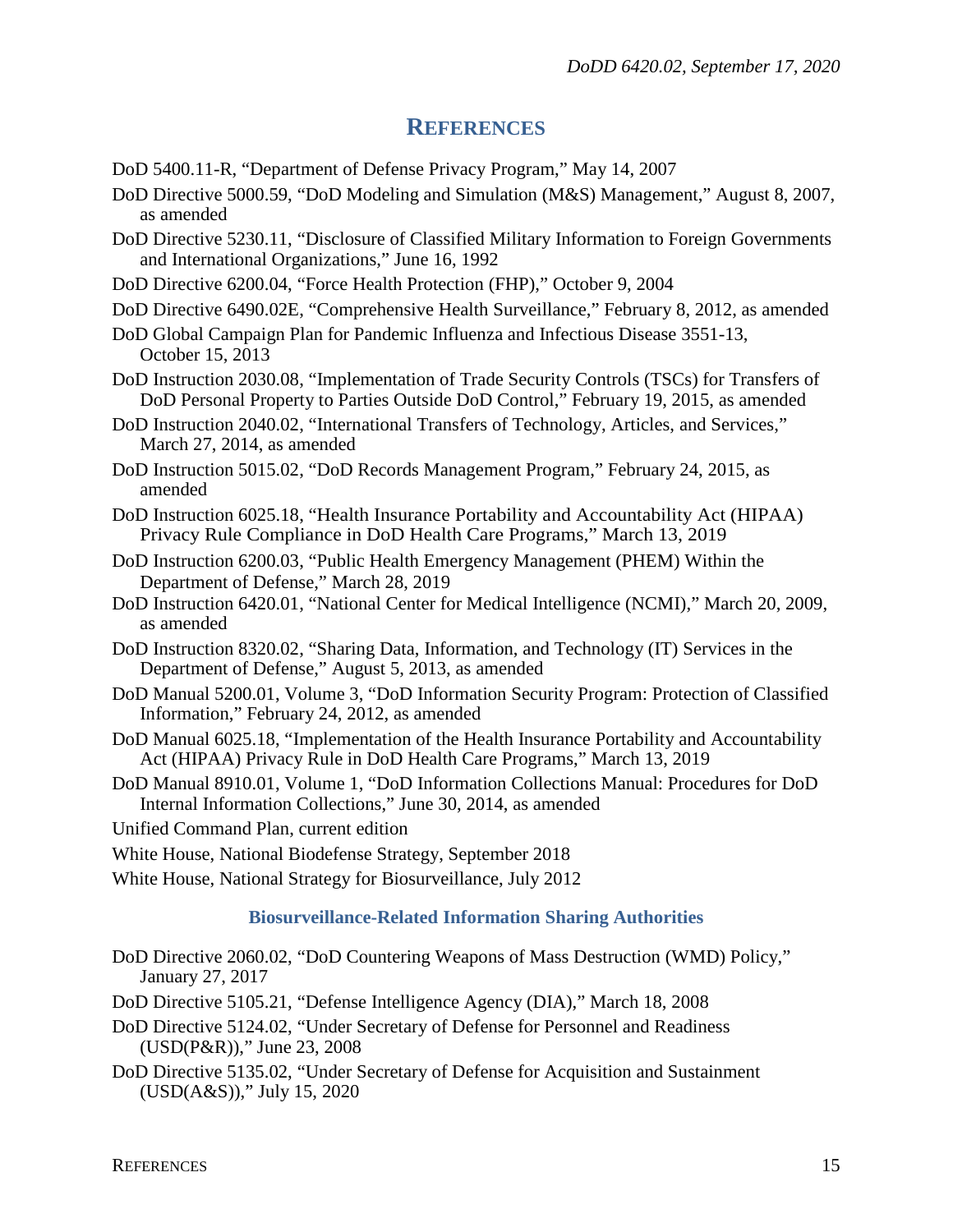## **REFERENCES**

- <span id="page-14-0"></span>DoD 5400.11-R, "Department of Defense Privacy Program," May 14, 2007
- DoD Directive 5000.59, "DoD Modeling and Simulation (M&S) Management," August 8, 2007, as amended
- DoD Directive 5230.11, "Disclosure of Classified Military Information to Foreign Governments and International Organizations," June 16, 1992
- DoD Directive 6200.04, "Force Health Protection (FHP)," October 9, 2004
- DoD Directive 6490.02E, "Comprehensive Health Surveillance," February 8, 2012, as amended
- DoD Global Campaign Plan for Pandemic Influenza and Infectious Disease 3551-13, October 15, 2013
- DoD Instruction 2030.08, "Implementation of Trade Security Controls (TSCs) for Transfers of DoD Personal Property to Parties Outside DoD Control," February 19, 2015, as amended
- DoD Instruction 2040.02, "International Transfers of Technology, Articles, and Services," March 27, 2014, as amended
- DoD Instruction 5015.02, "DoD Records Management Program," February 24, 2015, as amended
- DoD Instruction 6025.18, "Health Insurance Portability and Accountability Act (HIPAA) Privacy Rule Compliance in DoD Health Care Programs," March 13, 2019
- DoD Instruction 6200.03, "Public Health Emergency Management (PHEM) Within the Department of Defense," March 28, 2019
- DoD Instruction 6420.01, "National Center for Medical Intelligence (NCMI)," March 20, 2009, as amended
- DoD Instruction 8320.02, "Sharing Data, Information, and Technology (IT) Services in the Department of Defense," August 5, 2013, as amended
- DoD Manual 5200.01, Volume 3, "DoD Information Security Program: Protection of Classified Information," February 24, 2012, as amended
- DoD Manual 6025.18, "Implementation of the Health Insurance Portability and Accountability Act (HIPAA) Privacy Rule in DoD Health Care Programs," March 13, 2019
- DoD Manual 8910.01, Volume 1, "DoD Information Collections Manual: Procedures for DoD Internal Information Collections," June 30, 2014, as amended
- Unified Command Plan, current edition
- White House, National Biodefense Strategy, September 2018

White House, National Strategy for Biosurveillance, July 2012

#### **Biosurveillance-Related Information Sharing Authorities**

- DoD Directive 2060.02, "DoD Countering Weapons of Mass Destruction (WMD) Policy," January 27, 2017
- DoD Directive 5105.21, "Defense Intelligence Agency (DIA)," March 18, 2008
- DoD Directive 5124.02, "Under Secretary of Defense for Personnel and Readiness (USD(P&R))," June 23, 2008
- DoD Directive 5135.02, "Under Secretary of Defense for Acquisition and Sustainment (USD(A&S))," July 15, 2020